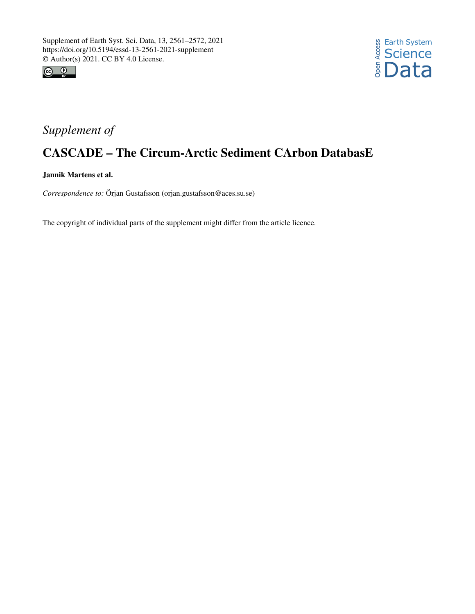



## *Supplement of*

## CASCADE – The Circum-Arctic Sediment CArbon DatabasE

Jannik Martens et al.

*Correspondence to:* Örjan Gustafsson (orjan.gustafsson@aces.su.se)

The copyright of individual parts of the supplement might differ from the article licence.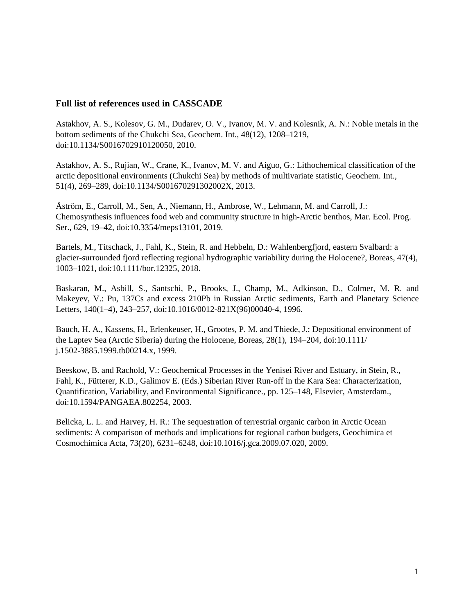## **Full list of references used in CASSCADE**

Astakhov, A. S., Kolesov, G. M., Dudarev, O. V., Ivanov, M. V. and Kolesnik, A. N.: Noble metals in the bottom sediments of the Chukchi Sea, Geochem. Int., 48(12), 1208–1219, doi:10.1134/S0016702910120050, 2010.

Astakhov, A. S., Rujian, W., Crane, K., Ivanov, M. V. and Aiguo, G.: Lithochemical classification of the arctic depositional environments (Chukchi Sea) by methods of multivariate statistic, Geochem. Int., 51(4), 269–289, doi:10.1134/S001670291302002X, 2013.

Åström, E., Carroll, M., Sen, A., Niemann, H., Ambrose, W., Lehmann, M. and Carroll, J.: Chemosynthesis influences food web and community structure in high-Arctic benthos, Mar. Ecol. Prog. Ser., 629, 19–42, doi:10.3354/meps13101, 2019.

Bartels, M., Titschack, J., Fahl, K., Stein, R. and Hebbeln, D.: Wahlenbergfjord, eastern Svalbard: a glacier-surrounded fjord reflecting regional hydrographic variability during the Holocene?, Boreas, 47(4), 1003–1021, doi:10.1111/bor.12325, 2018.

Baskaran, M., Asbill, S., Santschi, P., Brooks, J., Champ, M., Adkinson, D., Colmer, M. R. and Makeyev, V.: Pu, 137Cs and excess 210Pb in Russian Arctic sediments, Earth and Planetary Science Letters, 140(1–4), 243–257, doi:10.1016/0012-821X(96)00040-4, 1996.

Bauch, H. A., Kassens, H., Erlenkeuser, H., Grootes, P. M. and Thiede, J.: Depositional environment of the Laptev Sea (Arctic Siberia) during the Holocene, Boreas, 28(1), 194–204, doi:10.1111/ j.1502-3885.1999.tb00214.x, 1999.

Beeskow, B. and Rachold, V.: Geochemical Processes in the Yenisei River and Estuary, in Stein, R., Fahl, K., Fütterer, K.D., Galimov E. (Eds.) Siberian River Run-off in the Kara Sea: Characterization, Quantification, Variability, and Environmental Significance., pp. 125–148, Elsevier, Amsterdam., doi:10.1594/PANGAEA.802254, 2003.

Belicka, L. L. and Harvey, H. R.: The sequestration of terrestrial organic carbon in Arctic Ocean sediments: A comparison of methods and implications for regional carbon budgets, Geochimica et Cosmochimica Acta, 73(20), 6231–6248, doi:10.1016/j.gca.2009.07.020, 2009.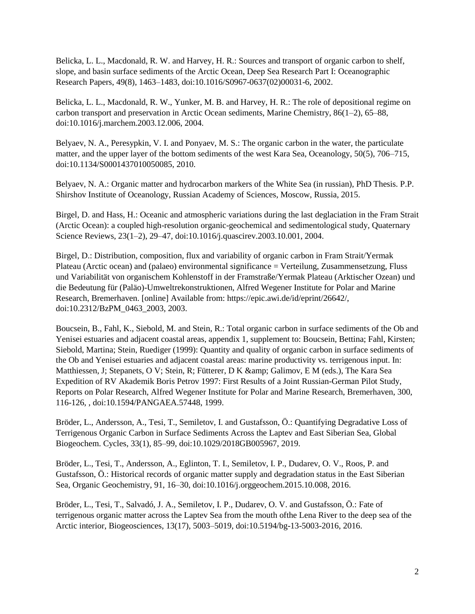Belicka, L. L., Macdonald, R. W. and Harvey, H. R.: Sources and transport of organic carbon to shelf, slope, and basin surface sediments of the Arctic Ocean, Deep Sea Research Part I: Oceanographic Research Papers, 49(8), 1463–1483, doi:10.1016/S0967-0637(02)00031-6, 2002.

Belicka, L. L., Macdonald, R. W., Yunker, M. B. and Harvey, H. R.: The role of depositional regime on carbon transport and preservation in Arctic Ocean sediments, Marine Chemistry, 86(1–2), 65–88, doi:10.1016/j.marchem.2003.12.006, 2004.

Belyaev, N. A., Peresypkin, V. I. and Ponyaev, M. S.: The organic carbon in the water, the particulate matter, and the upper layer of the bottom sediments of the west Kara Sea, Oceanology, 50(5), 706–715, doi:10.1134/S0001437010050085, 2010.

Belyaev, N. A.: Organic matter and hydrocarbon markers of the White Sea (in russian), PhD Thesis. P.P. Shirshov Institute of Oceanology, Russian Academy of Sciences, Moscow, Russia, 2015.

Birgel, D. and Hass, H.: Oceanic and atmospheric variations during the last deglaciation in the Fram Strait (Arctic Ocean): a coupled high-resolution organic-geochemical and sedimentological study, Quaternary Science Reviews, 23(1–2), 29–47, doi:10.1016/j.quascirev.2003.10.001, 2004.

Birgel, D.: Distribution, composition, flux and variability of organic carbon in Fram Strait/Yermak Plateau (Arctic ocean) and (palaeo) environmental significance = Verteilung, Zusammensetzung, Fluss und Variabilität von organischem Kohlenstoff in der Framstraße/Yermak Plateau (Arktischer Ozean) und die Bedeutung für (Paläo)-Umweltrekonstruktionen, Alfred Wegener Institute for Polar and Marine Research, Bremerhaven. [online] Available from: https://epic.awi.de/id/eprint/26642/, doi:10.2312/BzPM\_0463\_2003, 2003.

Boucsein, B., Fahl, K., Siebold, M. and Stein, R.: Total organic carbon in surface sediments of the Ob and Yenisei estuaries and adjacent coastal areas, appendix 1, supplement to: Boucsein, Bettina; Fahl, Kirsten; Siebold, Martina; Stein, Ruediger (1999): Quantity and quality of organic carbon in surface sediments of the Ob and Yenisei estuaries and adjacent coastal areas: marine productivity vs. terrigenous input. In: Matthiessen, J; Stepanets, O V; Stein, R; Fütterer, D K & amp; Galimov, E M (eds.), The Kara Sea Expedition of RV Akademik Boris Petrov 1997: First Results of a Joint Russian-German Pilot Study, Reports on Polar Research, Alfred Wegener Institute for Polar and Marine Research, Bremerhaven, 300, 116-126, , doi:10.1594/PANGAEA.57448, 1999.

Bröder, L., Andersson, A., Tesi, T., Semiletov, I. and Gustafsson, Ö.: Quantifying Degradative Loss of Terrigenous Organic Carbon in Surface Sediments Across the Laptev and East Siberian Sea, Global Biogeochem. Cycles, 33(1), 85–99, doi:10.1029/2018GB005967, 2019.

Bröder, L., Tesi, T., Andersson, A., Eglinton, T. I., Semiletov, I. P., Dudarev, O. V., Roos, P. and Gustafsson, Ö.: Historical records of organic matter supply and degradation status in the East Siberian Sea, Organic Geochemistry, 91, 16–30, doi:10.1016/j.orggeochem.2015.10.008, 2016.

Bröder, L., Tesi, T., Salvadó, J. A., Semiletov, I. P., Dudarev, O. V. and Gustafsson, Ö.: Fate of terrigenous organic matter across the Laptev Sea from the mouth ofthe Lena River to the deep sea of the Arctic interior, Biogeosciences, 13(17), 5003–5019, doi:10.5194/bg-13-5003-2016, 2016.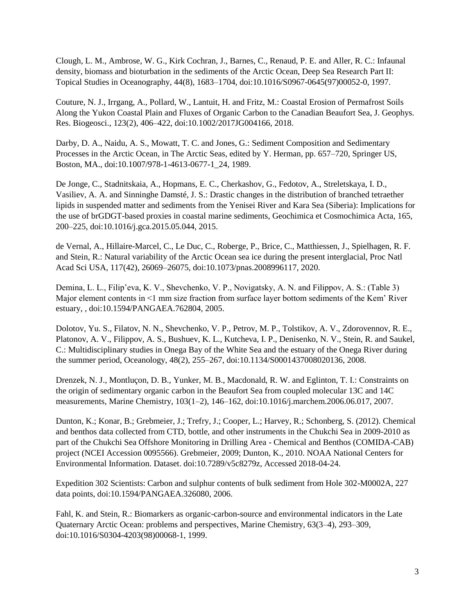Clough, L. M., Ambrose, W. G., Kirk Cochran, J., Barnes, C., Renaud, P. E. and Aller, R. C.: Infaunal density, biomass and bioturbation in the sediments of the Arctic Ocean, Deep Sea Research Part II: Topical Studies in Oceanography, 44(8), 1683–1704, doi:10.1016/S0967-0645(97)00052-0, 1997.

Couture, N. J., Irrgang, A., Pollard, W., Lantuit, H. and Fritz, M.: Coastal Erosion of Permafrost Soils Along the Yukon Coastal Plain and Fluxes of Organic Carbon to the Canadian Beaufort Sea, J. Geophys. Res. Biogeosci., 123(2), 406–422, doi:10.1002/2017JG004166, 2018.

Darby, D. A., Naidu, A. S., Mowatt, T. C. and Jones, G.: Sediment Composition and Sedimentary Processes in the Arctic Ocean, in The Arctic Seas, edited by Y. Herman, pp. 657–720, Springer US, Boston, MA., doi:10.1007/978-1-4613-0677-1\_24, 1989.

De Jonge, C., Stadnitskaia, A., Hopmans, E. C., Cherkashov, G., Fedotov, A., Streletskaya, I. D., Vasiliev, A. A. and Sinninghe Damsté, J. S.: Drastic changes in the distribution of branched tetraether lipids in suspended matter and sediments from the Yenisei River and Kara Sea (Siberia): Implications for the use of brGDGT-based proxies in coastal marine sediments, Geochimica et Cosmochimica Acta, 165, 200–225, doi:10.1016/j.gca.2015.05.044, 2015.

de Vernal, A., Hillaire-Marcel, C., Le Duc, C., Roberge, P., Brice, C., Matthiessen, J., Spielhagen, R. F. and Stein, R.: Natural variability of the Arctic Ocean sea ice during the present interglacial, Proc Natl Acad Sci USA, 117(42), 26069–26075, doi:10.1073/pnas.2008996117, 2020.

Demina, L. L., Filip'eva, K. V., Shevchenko, V. P., Novigatsky, A. N. and Filippov, A. S.: (Table 3) Major element contents in <1 mm size fraction from surface layer bottom sediments of the Kem' River estuary, , doi:10.1594/PANGAEA.762804, 2005.

Dolotov, Yu. S., Filatov, N. N., Shevchenko, V. P., Petrov, M. P., Tolstikov, A. V., Zdorovennov, R. E., Platonov, A. V., Filippov, A. S., Bushuev, K. L., Kutcheva, I. P., Denisenko, N. V., Stein, R. and Saukel, C.: Multidisciplinary studies in Onega Bay of the White Sea and the estuary of the Onega River during the summer period, Oceanology, 48(2), 255–267, doi:10.1134/S0001437008020136, 2008.

Drenzek, N. J., Montluçon, D. B., Yunker, M. B., Macdonald, R. W. and Eglinton, T. I.: Constraints on the origin of sedimentary organic carbon in the Beaufort Sea from coupled molecular 13C and 14C measurements, Marine Chemistry, 103(1–2), 146–162, doi:10.1016/j.marchem.2006.06.017, 2007.

Dunton, K.; Konar, B.; Grebmeier, J.; Trefry, J.; Cooper, L.; Harvey, R.; Schonberg, S. (2012). Chemical and benthos data collected from CTD, bottle, and other instruments in the Chukchi Sea in 2009-2010 as part of the Chukchi Sea Offshore Monitoring in Drilling Area - Chemical and Benthos (COMIDA-CAB) project (NCEI Accession 0095566). Grebmeier, 2009; Dunton, K., 2010. NOAA National Centers for Environmental Information. Dataset. doi:10.7289/v5c8279z, Accessed 2018-04-24.

Expedition 302 Scientists: Carbon and sulphur contents of bulk sediment from Hole 302-M0002A, 227 data points, doi:10.1594/PANGAEA.326080, 2006.

Fahl, K. and Stein, R.: Biomarkers as organic-carbon-source and environmental indicators in the Late Quaternary Arctic Ocean: problems and perspectives, Marine Chemistry, 63(3–4), 293–309, doi:10.1016/S0304-4203(98)00068-1, 1999.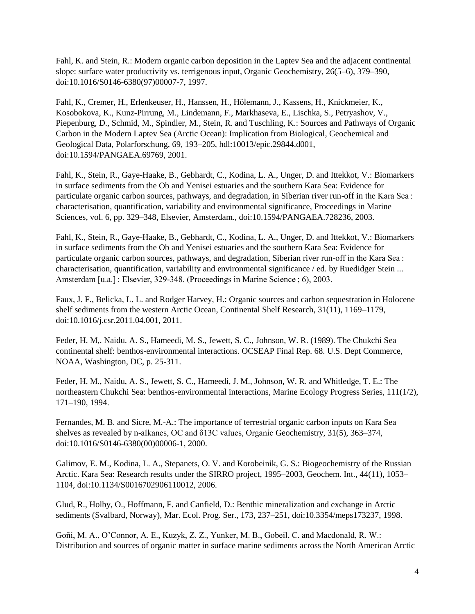Fahl, K. and Stein, R.: Modern organic carbon deposition in the Laptev Sea and the adjacent continental slope: surface water productivity vs. terrigenous input, Organic Geochemistry, 26(5–6), 379–390, doi:10.1016/S0146-6380(97)00007-7, 1997.

Fahl, K., Cremer, H., Erlenkeuser, H., Hanssen, H., Hölemann, J., Kassens, H., Knickmeier, K., Kosobokova, K., Kunz-Pirrung, M., Lindemann, F., Markhaseva, E., Lischka, S., Petryashov, V., Piepenburg, D., Schmid, M., Spindler, M., Stein, R. and Tuschling, K.: Sources and Pathways of Organic Carbon in the Modern Laptev Sea (Arctic Ocean): Implication from Biological, Geochemical and Geological Data, Polarforschung, 69, 193–205, hdl:10013/epic.29844.d001, doi:10.1594/PANGAEA.69769, 2001.

Fahl, K., Stein, R., Gaye-Haake, B., Gebhardt, C., Kodina, L. A., Unger, D. and Ittekkot, V.: Biomarkers in surface sediments from the Ob and Yenisei estuaries and the southern Kara Sea: Evidence for particulate organic carbon sources, pathways, and degradation, in Siberian river run-off in the Kara Sea : characterisation, quantification, variability and environmental significance, Proceedings in Marine Sciences, vol. 6, pp. 329–348, Elsevier, Amsterdam., doi:10.1594/PANGAEA.728236, 2003.

Fahl, K., Stein, R., Gaye-Haake, B., Gebhardt, C., Kodina, L. A., Unger, D. and Ittekkot, V.: Biomarkers in surface sediments from the Ob and Yenisei estuaries and the southern Kara Sea: Evidence for particulate organic carbon sources, pathways, and degradation, Siberian river run-off in the Kara Sea : characterisation, quantification, variability and environmental significance / ed. by Ruedidger Stein ... Amsterdam [u.a.] : Elsevier, 329-348. (Proceedings in Marine Science ; 6), 2003.

Faux, J. F., Belicka, L. L. and Rodger Harvey, H.: Organic sources and carbon sequestration in Holocene shelf sediments from the western Arctic Ocean, Continental Shelf Research, 31(11), 1169–1179, doi:10.1016/j.csr.2011.04.001, 2011.

Feder, H. M,. Naidu. A. S., Hameedi, M. S., Jewett, S. C., Johnson, W. R. (1989). The Chukchi Sea continental shelf: benthos-environmental interactions. OCSEAP Final Rep. 68. U.S. Dept Commerce, NOAA, Washington, DC, p. 25-311.

Feder, H. M., Naidu, A. S., Jewett, S. C., Hameedi, J. M., Johnson, W. R. and Whitledge, T. E.: The northeastern Chukchi Sea: benthos-environmental interactions, Marine Ecology Progress Series, 111(1/2), 171–190, 1994.

Fernandes, M. B. and Sicre, M.-A.: The importance of terrestrial organic carbon inputs on Kara Sea shelves as revealed by n-alkanes, OC and δ13C values, Organic Geochemistry, 31(5), 363–374, doi:10.1016/S0146-6380(00)00006-1, 2000.

Galimov, E. M., Kodina, L. A., Stepanets, O. V. and Korobeinik, G. S.: Biogeochemistry of the Russian Arctic. Kara Sea: Research results under the SIRRO project, 1995–2003, Geochem. Int., 44(11), 1053– 1104, doi:10.1134/S0016702906110012, 2006.

Glud, R., Holby, O., Hoffmann, F. and Canfield, D.: Benthic mineralization and exchange in Arctic sediments (Svalbard, Norway), Mar. Ecol. Prog. Ser., 173, 237–251, doi:10.3354/meps173237, 1998.

Goñi, M. A., O'Connor, A. E., Kuzyk, Z. Z., Yunker, M. B., Gobeil, C. and Macdonald, R. W.: Distribution and sources of organic matter in surface marine sediments across the North American Arctic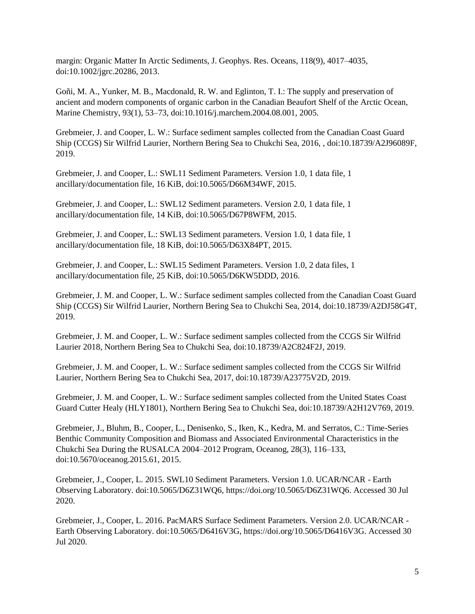margin: Organic Matter In Arctic Sediments, J. Geophys. Res. Oceans, 118(9), 4017–4035, doi:10.1002/jgrc.20286, 2013.

Goñi, M. A., Yunker, M. B., Macdonald, R. W. and Eglinton, T. I.: The supply and preservation of ancient and modern components of organic carbon in the Canadian Beaufort Shelf of the Arctic Ocean, Marine Chemistry, 93(1), 53–73, doi:10.1016/j.marchem.2004.08.001, 2005.

Grebmeier, J. and Cooper, L. W.: Surface sediment samples collected from the Canadian Coast Guard Ship (CCGS) Sir Wilfrid Laurier, Northern Bering Sea to Chukchi Sea, 2016, , doi:10.18739/A2J96089F, 2019.

Grebmeier, J. and Cooper, L.: SWL11 Sediment Parameters. Version 1.0, 1 data file, 1 ancillary/documentation file, 16 KiB, doi:10.5065/D66M34WF, 2015.

Grebmeier, J. and Cooper, L.: SWL12 Sediment parameters. Version 2.0, 1 data file, 1 ancillary/documentation file, 14 KiB, doi:10.5065/D67P8WFM, 2015.

Grebmeier, J. and Cooper, L.: SWL13 Sediment parameters. Version 1.0, 1 data file, 1 ancillary/documentation file, 18 KiB, doi:10.5065/D63X84PT, 2015.

Grebmeier, J. and Cooper, L.: SWL15 Sediment Parameters. Version 1.0, 2 data files, 1 ancillary/documentation file, 25 KiB, doi:10.5065/D6KW5DDD, 2016.

Grebmeier, J. M. and Cooper, L. W.: Surface sediment samples collected from the Canadian Coast Guard Ship (CCGS) Sir Wilfrid Laurier, Northern Bering Sea to Chukchi Sea, 2014, doi:10.18739/A2DJ58G4T, 2019.

Grebmeier, J. M. and Cooper, L. W.: Surface sediment samples collected from the CCGS Sir Wilfrid Laurier 2018, Northern Bering Sea to Chukchi Sea, doi:10.18739/A2C824F2J, 2019.

Grebmeier, J. M. and Cooper, L. W.: Surface sediment samples collected from the CCGS Sir Wilfrid Laurier, Northern Bering Sea to Chukchi Sea, 2017, doi:10.18739/A23775V2D, 2019.

Grebmeier, J. M. and Cooper, L. W.: Surface sediment samples collected from the United States Coast Guard Cutter Healy (HLY1801), Northern Bering Sea to Chukchi Sea, doi:10.18739/A2H12V769, 2019.

Grebmeier, J., Bluhm, B., Cooper, L., Denisenko, S., Iken, K., Kedra, M. and Serratos, C.: Time-Series Benthic Community Composition and Biomass and Associated Environmental Characteristics in the Chukchi Sea During the RUSALCA 2004–2012 Program, Oceanog, 28(3), 116–133, doi:10.5670/oceanog.2015.61, 2015.

Grebmeier, J., Cooper, L. 2015. SWL10 Sediment Parameters. Version 1.0. UCAR/NCAR - Earth Observing Laboratory. doi:10.5065/D6Z31WQ6, https://doi.org/10.5065/D6Z31WQ6. Accessed 30 Jul 2020.

Grebmeier, J., Cooper, L. 2016. PacMARS Surface Sediment Parameters. Version 2.0. UCAR/NCAR - Earth Observing Laboratory. doi:10.5065/D6416V3G, https://doi.org/10.5065/D6416V3G. Accessed 30 Jul 2020.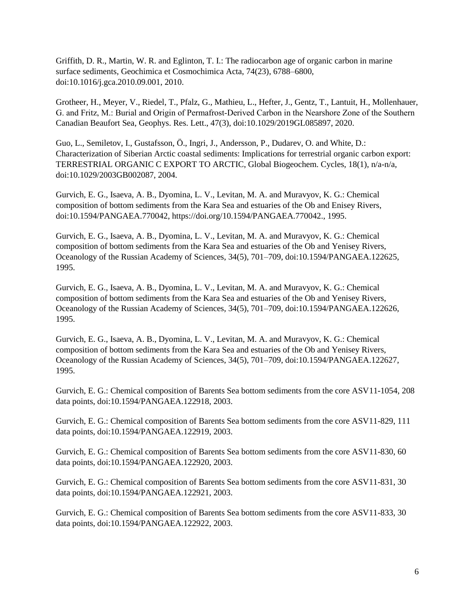Griffith, D. R., Martin, W. R. and Eglinton, T. I.: The radiocarbon age of organic carbon in marine surface sediments, Geochimica et Cosmochimica Acta, 74(23), 6788–6800, doi:10.1016/j.gca.2010.09.001, 2010.

Grotheer, H., Meyer, V., Riedel, T., Pfalz, G., Mathieu, L., Hefter, J., Gentz, T., Lantuit, H., Mollenhauer, G. and Fritz, M.: Burial and Origin of Permafrost‐Derived Carbon in the Nearshore Zone of the Southern Canadian Beaufort Sea, Geophys. Res. Lett., 47(3), doi:10.1029/2019GL085897, 2020.

Guo, L., Semiletov, I., Gustafsson, Ö., Ingri, J., Andersson, P., Dudarev, O. and White, D.: Characterization of Siberian Arctic coastal sediments: Implications for terrestrial organic carbon export: TERRESTRIAL ORGANIC C EXPORT TO ARCTIC, Global Biogeochem. Cycles, 18(1), n/a-n/a, doi:10.1029/2003GB002087, 2004.

Gurvich, E. G., Isaeva, A. B., Dyomina, L. V., Levitan, M. A. and Muravyov, K. G.: Chemical composition of bottom sediments from the Kara Sea and estuaries of the Ob and Enisey Rivers, doi:10.1594/PANGAEA.770042, https://doi.org/10.1594/PANGAEA.770042., 1995.

Gurvich, E. G., Isaeva, A. B., Dyomina, L. V., Levitan, M. A. and Muravyov, K. G.: Chemical composition of bottom sediments from the Kara Sea and estuaries of the Ob and Yenisey Rivers, Oceanology of the Russian Academy of Sciences, 34(5), 701–709, doi:10.1594/PANGAEA.122625, 1995.

Gurvich, E. G., Isaeva, A. B., Dyomina, L. V., Levitan, M. A. and Muravyov, K. G.: Chemical composition of bottom sediments from the Kara Sea and estuaries of the Ob and Yenisey Rivers, Oceanology of the Russian Academy of Sciences, 34(5), 701–709, doi:10.1594/PANGAEA.122626, 1995.

Gurvich, E. G., Isaeva, A. B., Dyomina, L. V., Levitan, M. A. and Muravyov, K. G.: Chemical composition of bottom sediments from the Kara Sea and estuaries of the Ob and Yenisey Rivers, Oceanology of the Russian Academy of Sciences, 34(5), 701–709, doi:10.1594/PANGAEA.122627, 1995.

Gurvich, E. G.: Chemical composition of Barents Sea bottom sediments from the core ASV11-1054, 208 data points, doi:10.1594/PANGAEA.122918, 2003.

Gurvich, E. G.: Chemical composition of Barents Sea bottom sediments from the core ASV11-829, 111 data points, doi:10.1594/PANGAEA.122919, 2003.

Gurvich, E. G.: Chemical composition of Barents Sea bottom sediments from the core ASV11-830, 60 data points, doi:10.1594/PANGAEA.122920, 2003.

Gurvich, E. G.: Chemical composition of Barents Sea bottom sediments from the core ASV11-831, 30 data points, doi:10.1594/PANGAEA.122921, 2003.

Gurvich, E. G.: Chemical composition of Barents Sea bottom sediments from the core ASV11-833, 30 data points, doi:10.1594/PANGAEA.122922, 2003.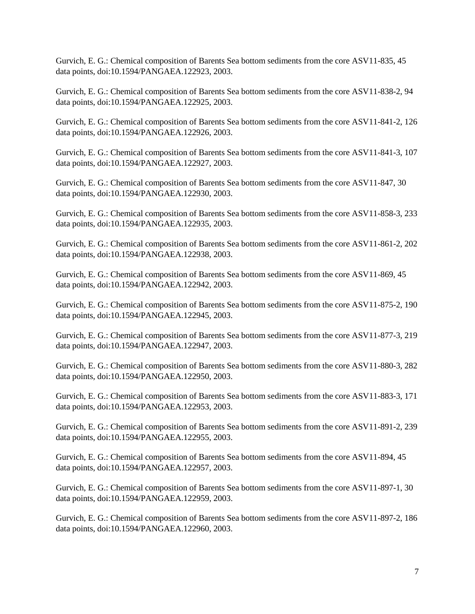Gurvich, E. G.: Chemical composition of Barents Sea bottom sediments from the core ASV11-835, 45 data points, doi:10.1594/PANGAEA.122923, 2003.

Gurvich, E. G.: Chemical composition of Barents Sea bottom sediments from the core ASV11-838-2, 94 data points, doi:10.1594/PANGAEA.122925, 2003.

Gurvich, E. G.: Chemical composition of Barents Sea bottom sediments from the core ASV11-841-2, 126 data points, doi:10.1594/PANGAEA.122926, 2003.

Gurvich, E. G.: Chemical composition of Barents Sea bottom sediments from the core ASV11-841-3, 107 data points, doi:10.1594/PANGAEA.122927, 2003.

Gurvich, E. G.: Chemical composition of Barents Sea bottom sediments from the core ASV11-847, 30 data points, doi:10.1594/PANGAEA.122930, 2003.

Gurvich, E. G.: Chemical composition of Barents Sea bottom sediments from the core ASV11-858-3, 233 data points, doi:10.1594/PANGAEA.122935, 2003.

Gurvich, E. G.: Chemical composition of Barents Sea bottom sediments from the core ASV11-861-2, 202 data points, doi:10.1594/PANGAEA.122938, 2003.

Gurvich, E. G.: Chemical composition of Barents Sea bottom sediments from the core ASV11-869, 45 data points, doi:10.1594/PANGAEA.122942, 2003.

Gurvich, E. G.: Chemical composition of Barents Sea bottom sediments from the core ASV11-875-2, 190 data points, doi:10.1594/PANGAEA.122945, 2003.

Gurvich, E. G.: Chemical composition of Barents Sea bottom sediments from the core ASV11-877-3, 219 data points, doi:10.1594/PANGAEA.122947, 2003.

Gurvich, E. G.: Chemical composition of Barents Sea bottom sediments from the core ASV11-880-3, 282 data points, doi:10.1594/PANGAEA.122950, 2003.

Gurvich, E. G.: Chemical composition of Barents Sea bottom sediments from the core ASV11-883-3, 171 data points, doi:10.1594/PANGAEA.122953, 2003.

Gurvich, E. G.: Chemical composition of Barents Sea bottom sediments from the core ASV11-891-2, 239 data points, doi:10.1594/PANGAEA.122955, 2003.

Gurvich, E. G.: Chemical composition of Barents Sea bottom sediments from the core ASV11-894, 45 data points, doi:10.1594/PANGAEA.122957, 2003.

Gurvich, E. G.: Chemical composition of Barents Sea bottom sediments from the core ASV11-897-1, 30 data points, doi:10.1594/PANGAEA.122959, 2003.

Gurvich, E. G.: Chemical composition of Barents Sea bottom sediments from the core ASV11-897-2, 186 data points, doi:10.1594/PANGAEA.122960, 2003.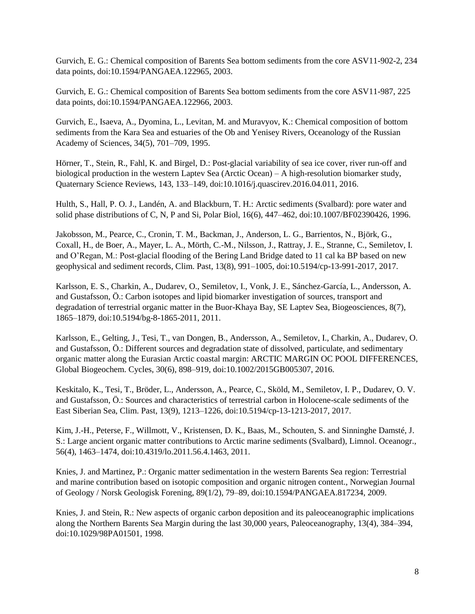Gurvich, E. G.: Chemical composition of Barents Sea bottom sediments from the core ASV11-902-2, 234 data points, doi:10.1594/PANGAEA.122965, 2003.

Gurvich, E. G.: Chemical composition of Barents Sea bottom sediments from the core ASV11-987, 225 data points, doi:10.1594/PANGAEA.122966, 2003.

Gurvich, E., Isaeva, A., Dyomina, L., Levitan, M. and Muravyov, K.: Chemical composition of bottom sediments from the Kara Sea and estuaries of the Ob and Yenisey Rivers, Oceanology of the Russian Academy of Sciences, 34(5), 701–709, 1995.

Hörner, T., Stein, R., Fahl, K. and Birgel, D.: Post-glacial variability of sea ice cover, river run-off and biological production in the western Laptev Sea (Arctic Ocean) – A high-resolution biomarker study, Quaternary Science Reviews, 143, 133–149, doi:10.1016/j.quascirev.2016.04.011, 2016.

Hulth, S., Hall, P. O. J., Landén, A. and Blackburn, T. H.: Arctic sediments (Svalbard): pore water and solid phase distributions of C, N, P and Si, Polar Biol, 16(6), 447–462, doi:10.1007/BF02390426, 1996.

Jakobsson, M., Pearce, C., Cronin, T. M., Backman, J., Anderson, L. G., Barrientos, N., Björk, G., Coxall, H., de Boer, A., Mayer, L. A., Mörth, C.-M., Nilsson, J., Rattray, J. E., Stranne, C., Semiletov, I. and O'Regan, M.: Post-glacial flooding of the Bering Land Bridge dated to 11 cal ka BP based on new geophysical and sediment records, Clim. Past, 13(8), 991–1005, doi:10.5194/cp-13-991-2017, 2017.

Karlsson, E. S., Charkin, A., Dudarev, O., Semiletov, I., Vonk, J. E., Sánchez-García, L., Andersson, A. and Gustafsson, Ö.: Carbon isotopes and lipid biomarker investigation of sources, transport and degradation of terrestrial organic matter in the Buor-Khaya Bay, SE Laptev Sea, Biogeosciences, 8(7), 1865–1879, doi:10.5194/bg-8-1865-2011, 2011.

Karlsson, E., Gelting, J., Tesi, T., van Dongen, B., Andersson, A., Semiletov, I., Charkin, A., Dudarev, O. and Gustafsson, Ö.: Different sources and degradation state of dissolved, particulate, and sedimentary organic matter along the Eurasian Arctic coastal margin: ARCTIC MARGIN OC POOL DIFFERENCES, Global Biogeochem. Cycles, 30(6), 898–919, doi:10.1002/2015GB005307, 2016.

Keskitalo, K., Tesi, T., Bröder, L., Andersson, A., Pearce, C., Sköld, M., Semiletov, I. P., Dudarev, O. V. and Gustafsson, Ö.: Sources and characteristics of terrestrial carbon in Holocene-scale sediments of the East Siberian Sea, Clim. Past, 13(9), 1213–1226, doi:10.5194/cp-13-1213-2017, 2017.

Kim, J.-H., Peterse, F., Willmott, V., Kristensen, D. K., Baas, M., Schouten, S. and Sinninghe Damsté, J. S.: Large ancient organic matter contributions to Arctic marine sediments (Svalbard), Limnol. Oceanogr., 56(4), 1463–1474, doi:10.4319/lo.2011.56.4.1463, 2011.

Knies, J. and Martinez, P.: Organic matter sedimentation in the western Barents Sea region: Terrestrial and marine contribution based on isotopic composition and organic nitrogen content., Norwegian Journal of Geology / Norsk Geologisk Forening, 89(1/2), 79–89, doi:10.1594/PANGAEA.817234, 2009.

Knies, J. and Stein, R.: New aspects of organic carbon deposition and its paleoceanographic implications along the Northern Barents Sea Margin during the last 30,000 years, Paleoceanography, 13(4), 384–394, doi:10.1029/98PA01501, 1998.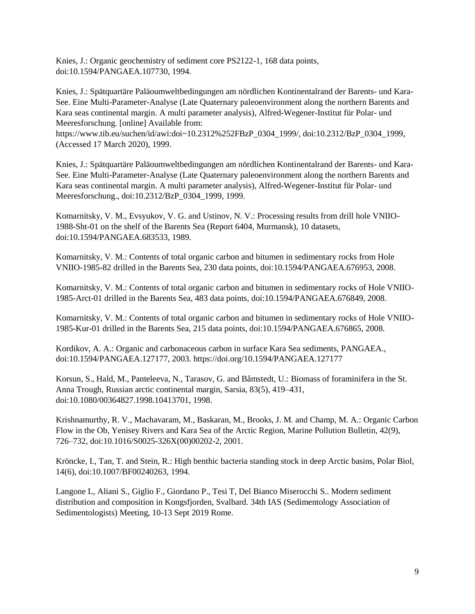Knies, J.: Organic geochemistry of sediment core PS2122-1, 168 data points, doi:10.1594/PANGAEA.107730, 1994.

Knies, J.: Spätquartäre Paläoumweltbedingungen am nördlichen Kontinentalrand der Barents- und Kara-See. Eine Multi-Parameter-Analyse (Late Quaternary paleoenvironment along the northern Barents and Kara seas continental margin. A multi parameter analysis), Alfred-Wegener-Institut für Polar- und Meeresforschung. [online] Available from:

https://www.tib.eu/suchen/id/awi:doi~10.2312%252FBzP\_0304\_1999/, doi:10.2312/BzP\_0304\_1999, (Accessed 17 March 2020), 1999.

Knies, J.: Spätquartäre Paläoumweltbedingungen am nördlichen Kontinentalrand der Barents- und Kara-See. Eine Multi-Parameter-Analyse (Late Quaternary paleoenvironment along the northern Barents and Kara seas continental margin. A multi parameter analysis), Alfred-Wegener-Institut für Polar- und Meeresforschung., doi:10.2312/BzP\_0304\_1999, 1999.

Komarnitsky, V. M., Evsyukov, V. G. and Ustinov, N. V.: Processing results from drill hole VNIIO-1988-Sht-01 on the shelf of the Barents Sea (Report 6404, Murmansk), 10 datasets, doi:10.1594/PANGAEA.683533, 1989.

Komarnitsky, V. M.: Contents of total organic carbon and bitumen in sedimentary rocks from Hole VNIIO-1985-82 drilled in the Barents Sea, 230 data points, doi:10.1594/PANGAEA.676953, 2008.

Komarnitsky, V. M.: Contents of total organic carbon and bitumen in sedimentary rocks of Hole VNIIO-1985-Arct-01 drilled in the Barents Sea, 483 data points, doi:10.1594/PANGAEA.676849, 2008.

Komarnitsky, V. M.: Contents of total organic carbon and bitumen in sedimentary rocks of Hole VNIIO-1985-Kur-01 drilled in the Barents Sea, 215 data points, doi:10.1594/PANGAEA.676865, 2008.

Kordikov, A. A.: Organic and carbonaceous carbon in surface Kara Sea sediments, PANGAEA., doi:10.1594/PANGAEA.127177, 2003. https://doi.org/10.1594/PANGAEA.127177

Korsun, S., Hald, M., Panteleeva, N., Tarasov, G. and Båmstedt, U.: Biomass of foraminifera in the St. Anna Trough, Russian arctic continental margin, Sarsia, 83(5), 419–431, doi:10.1080/00364827.1998.10413701, 1998.

Krishnamurthy, R. V., Machavaram, M., Baskaran, M., Brooks, J. M. and Champ, M. A.: Organic Carbon Flow in the Ob, Yenisey Rivers and Kara Sea of the Arctic Region, Marine Pollution Bulletin, 42(9), 726–732, doi:10.1016/S0025-326X(00)00202-2, 2001.

Kröncke, I., Tan, T. and Stein, R.: High benthic bacteria standing stock in deep Arctic basins, Polar Biol, 14(6), doi:10.1007/BF00240263, 1994.

Langone L, Aliani S., Giglio F., Giordano P., Tesi T, Del Bianco Miserocchi S.. Modern sediment distribution and composition in Kongsfjorden, Svalbard. 34th IAS (Sedimentology Association of Sedimentologists) Meeting, 10-13 Sept 2019 Rome.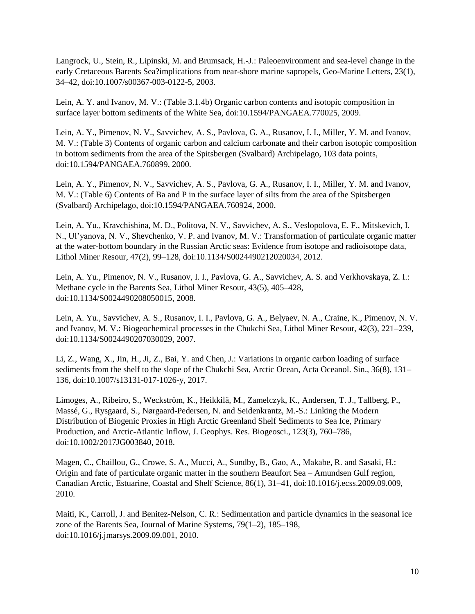Langrock, U., Stein, R., Lipinski, M. and Brumsack, H.-J.: Paleoenvironment and sea-level change in the early Cretaceous Barents Sea?implications from near-shore marine sapropels, Geo-Marine Letters, 23(1), 34–42, doi:10.1007/s00367-003-0122-5, 2003.

Lein, A. Y. and Ivanov, M. V.: (Table 3.1.4b) Organic carbon contents and isotopic composition in surface layer bottom sediments of the White Sea, doi:10.1594/PANGAEA.770025, 2009.

Lein, A. Y., Pimenov, N. V., Savvichev, A. S., Pavlova, G. A., Rusanov, I. I., Miller, Y. M. and Ivanov, M. V.: (Table 3) Contents of organic carbon and calcium carbonate and their carbon isotopic composition in bottom sediments from the area of the Spitsbergen (Svalbard) Archipelago, 103 data points, doi:10.1594/PANGAEA.760899, 2000.

Lein, A. Y., Pimenov, N. V., Savvichev, A. S., Pavlova, G. A., Rusanov, I. I., Miller, Y. M. and Ivanov, M. V.: (Table 6) Contents of Ba and P in the surface layer of silts from the area of the Spitsbergen (Svalbard) Archipelago, doi:10.1594/PANGAEA.760924, 2000.

Lein, A. Yu., Kravchishina, M. D., Politova, N. V., Savvichev, A. S., Veslopolova, E. F., Mitskevich, I. N., Ul'yanova, N. V., Shevchenko, V. P. and Ivanov, M. V.: Transformation of particulate organic matter at the water-bottom boundary in the Russian Arctic seas: Evidence from isotope and radioisotope data, Lithol Miner Resour, 47(2), 99–128, doi:10.1134/S0024490212020034, 2012.

Lein, A. Yu., Pimenov, N. V., Rusanov, I. I., Pavlova, G. A., Savvichev, A. S. and Verkhovskaya, Z. I.: Methane cycle in the Barents Sea, Lithol Miner Resour, 43(5), 405–428, doi:10.1134/S0024490208050015, 2008.

Lein, A. Yu., Savvichev, A. S., Rusanov, I. I., Pavlova, G. A., Belyaev, N. A., Craine, K., Pimenov, N. V. and Ivanov, M. V.: Biogeochemical processes in the Chukchi Sea, Lithol Miner Resour, 42(3), 221–239, doi:10.1134/S0024490207030029, 2007.

Li, Z., Wang, X., Jin, H., Ji, Z., Bai, Y. and Chen, J.: Variations in organic carbon loading of surface sediments from the shelf to the slope of the Chukchi Sea, Arctic Ocean, Acta Oceanol. Sin., 36(8), 131– 136, doi:10.1007/s13131-017-1026-y, 2017.

Limoges, A., Ribeiro, S., Weckström, K., Heikkilä, M., Zamelczyk, K., Andersen, T. J., Tallberg, P., Massé, G., Rysgaard, S., Nørgaard-Pedersen, N. and Seidenkrantz, M.-S.: Linking the Modern Distribution of Biogenic Proxies in High Arctic Greenland Shelf Sediments to Sea Ice, Primary Production, and Arctic-Atlantic Inflow, J. Geophys. Res. Biogeosci., 123(3), 760–786, doi:10.1002/2017JG003840, 2018.

Magen, C., Chaillou, G., Crowe, S. A., Mucci, A., Sundby, B., Gao, A., Makabe, R. and Sasaki, H.: Origin and fate of particulate organic matter in the southern Beaufort Sea – Amundsen Gulf region, Canadian Arctic, Estuarine, Coastal and Shelf Science, 86(1), 31–41, doi:10.1016/j.ecss.2009.09.009, 2010.

Maiti, K., Carroll, J. and Benitez-Nelson, C. R.: Sedimentation and particle dynamics in the seasonal ice zone of the Barents Sea, Journal of Marine Systems, 79(1–2), 185–198, doi:10.1016/j.jmarsys.2009.09.001, 2010.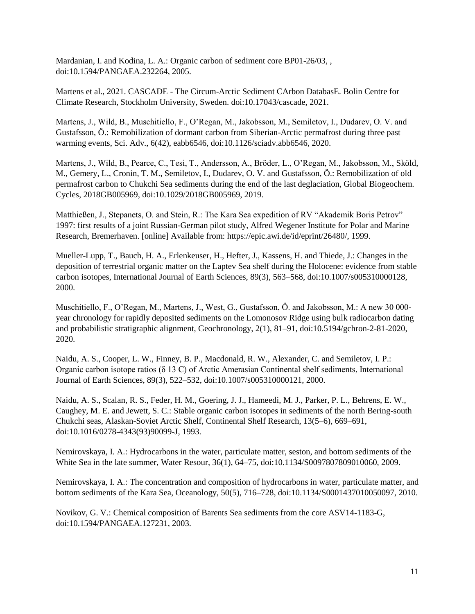Mardanian, I. and Kodina, L. A.: Organic carbon of sediment core BP01-26/03, , doi:10.1594/PANGAEA.232264, 2005.

Martens et al., 2021. CASCADE - The Circum-Arctic Sediment CArbon DatabasE. Bolin Centre for Climate Research, Stockholm University, Sweden. doi:10.17043/cascade, 2021.

Martens, J., Wild, B., Muschitiello, F., O'Regan, M., Jakobsson, M., Semiletov, I., Dudarev, O. V. and Gustafsson, Ö.: Remobilization of dormant carbon from Siberian-Arctic permafrost during three past warming events, Sci. Adv., 6(42), eabb6546, doi:10.1126/sciadv.abb6546, 2020.

Martens, J., Wild, B., Pearce, C., Tesi, T., Andersson, A., Bröder, L., O'Regan, M., Jakobsson, M., Sköld, M., Gemery, L., Cronin, T. M., Semiletov, I., Dudarev, O. V. and Gustafsson, Ö.: Remobilization of old permafrost carbon to Chukchi Sea sediments during the end of the last deglaciation, Global Biogeochem. Cycles, 2018GB005969, doi:10.1029/2018GB005969, 2019.

Matthießen, J., Stepanets, O. and Stein, R.: The Kara Sea expedition of RV "Akademik Boris Petrov" 1997: first results of a joint Russian-German pilot study, Alfred Wegener Institute for Polar and Marine Research, Bremerhaven. [online] Available from: https://epic.awi.de/id/eprint/26480/, 1999.

Mueller-Lupp, T., Bauch, H. A., Erlenkeuser, H., Hefter, J., Kassens, H. and Thiede, J.: Changes in the deposition of terrestrial organic matter on the Laptev Sea shelf during the Holocene: evidence from stable carbon isotopes, International Journal of Earth Sciences, 89(3), 563–568, doi:10.1007/s005310000128, 2000.

Muschitiello, F., O'Regan, M., Martens, J., West, G., Gustafsson, Ö. and Jakobsson, M.: A new 30 000 year chronology for rapidly deposited sediments on the Lomonosov Ridge using bulk radiocarbon dating and probabilistic stratigraphic alignment, Geochronology, 2(1), 81–91, doi:10.5194/gchron-2-81-2020, 2020.

Naidu, A. S., Cooper, L. W., Finney, B. P., Macdonald, R. W., Alexander, C. and Semiletov, I. P.: Organic carbon isotope ratios (δ 13 C) of Arctic Amerasian Continental shelf sediments, International Journal of Earth Sciences, 89(3), 522–532, doi:10.1007/s005310000121, 2000.

Naidu, A. S., Scalan, R. S., Feder, H. M., Goering, J. J., Hameedi, M. J., Parker, P. L., Behrens, E. W., Caughey, M. E. and Jewett, S. C.: Stable organic carbon isotopes in sediments of the north Bering-south Chukchi seas, Alaskan-Soviet Arctic Shelf, Continental Shelf Research, 13(5–6), 669–691, doi:10.1016/0278-4343(93)90099-J, 1993.

Nemirovskaya, I. A.: Hydrocarbons in the water, particulate matter, seston, and bottom sediments of the White Sea in the late summer, Water Resour, 36(1), 64–75, doi:10.1134/S0097807809010060, 2009.

Nemirovskaya, I. A.: The concentration and composition of hydrocarbons in water, particulate matter, and bottom sediments of the Kara Sea, Oceanology, 50(5), 716–728, doi:10.1134/S0001437010050097, 2010.

Novikov, G. V.: Chemical composition of Barents Sea sediments from the core ASV14-1183-G, doi:10.1594/PANGAEA.127231, 2003.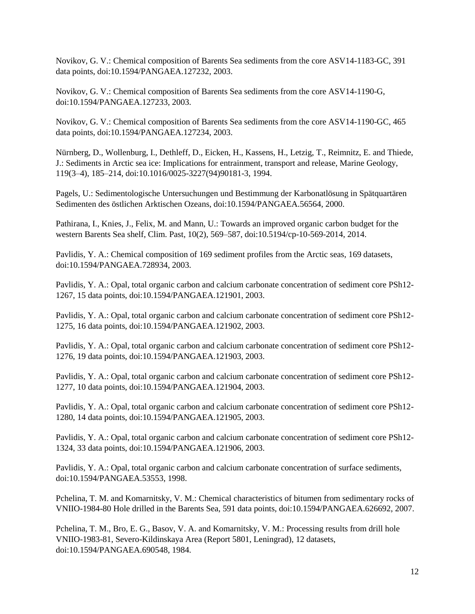Novikov, G. V.: Chemical composition of Barents Sea sediments from the core ASV14-1183-GC, 391 data points, doi:10.1594/PANGAEA.127232, 2003.

Novikov, G. V.: Chemical composition of Barents Sea sediments from the core ASV14-1190-G, doi:10.1594/PANGAEA.127233, 2003.

Novikov, G. V.: Chemical composition of Barents Sea sediments from the core ASV14-1190-GC, 465 data points, doi:10.1594/PANGAEA.127234, 2003.

Nürnberg, D., Wollenburg, I., Dethleff, D., Eicken, H., Kassens, H., Letzig, T., Reimnitz, E. and Thiede, J.: Sediments in Arctic sea ice: Implications for entrainment, transport and release, Marine Geology, 119(3–4), 185–214, doi:10.1016/0025-3227(94)90181-3, 1994.

Pagels, U.: Sedimentologische Untersuchungen und Bestimmung der Karbonatlösung in Spätquartären Sedimenten des östlichen Arktischen Ozeans, doi:10.1594/PANGAEA.56564, 2000.

Pathirana, I., Knies, J., Felix, M. and Mann, U.: Towards an improved organic carbon budget for the western Barents Sea shelf, Clim. Past, 10(2), 569–587, doi:10.5194/cp-10-569-2014, 2014.

Pavlidis, Y. A.: Chemical composition of 169 sediment profiles from the Arctic seas, 169 datasets, doi:10.1594/PANGAEA.728934, 2003.

Pavlidis, Y. A.: Opal, total organic carbon and calcium carbonate concentration of sediment core PSh12- 1267, 15 data points, doi:10.1594/PANGAEA.121901, 2003.

Pavlidis, Y. A.: Opal, total organic carbon and calcium carbonate concentration of sediment core PSh12- 1275, 16 data points, doi:10.1594/PANGAEA.121902, 2003.

Pavlidis, Y. A.: Opal, total organic carbon and calcium carbonate concentration of sediment core PSh12- 1276, 19 data points, doi:10.1594/PANGAEA.121903, 2003.

Pavlidis, Y. A.: Opal, total organic carbon and calcium carbonate concentration of sediment core PSh12- 1277, 10 data points, doi:10.1594/PANGAEA.121904, 2003.

Pavlidis, Y. A.: Opal, total organic carbon and calcium carbonate concentration of sediment core PSh12- 1280, 14 data points, doi:10.1594/PANGAEA.121905, 2003.

Pavlidis, Y. A.: Opal, total organic carbon and calcium carbonate concentration of sediment core PSh12- 1324, 33 data points, doi:10.1594/PANGAEA.121906, 2003.

Pavlidis, Y. A.: Opal, total organic carbon and calcium carbonate concentration of surface sediments, doi:10.1594/PANGAEA.53553, 1998.

Pchelina, T. M. and Komarnitsky, V. M.: Chemical characteristics of bitumen from sedimentary rocks of VNIIO-1984-80 Hole drilled in the Barents Sea, 591 data points, doi:10.1594/PANGAEA.626692, 2007.

Pchelina, T. M., Bro, E. G., Basov, V. A. and Komarnitsky, V. M.: Processing results from drill hole VNIIO-1983-81, Severo-Kildinskaya Area (Report 5801, Leningrad), 12 datasets, doi:10.1594/PANGAEA.690548, 1984.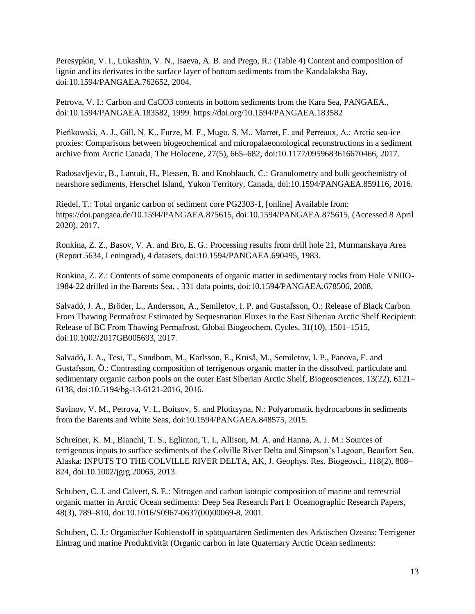Peresypkin, V. I., Lukashin, V. N., Isaeva, A. B. and Prego, R.: (Table 4) Content and composition of lignin and its derivates in the surface layer of bottom sediments from the Kandalaksha Bay, doi:10.1594/PANGAEA.762652, 2004.

Petrova, V. I.: Carbon and CaCO3 contents in bottom sediments from the Kara Sea, PANGAEA., doi:10.1594/PANGAEA.183582, 1999. https://doi.org/10.1594/PANGAEA.183582

Pieńkowski, A. J., Gill, N. K., Furze, M. F., Mugo, S. M., Marret, F. and Perreaux, A.: Arctic sea-ice proxies: Comparisons between biogeochemical and micropalaeontological reconstructions in a sediment archive from Arctic Canada, The Holocene, 27(5), 665–682, doi:10.1177/0959683616670466, 2017.

Radosavljevic, B., Lantuit, H., Plessen, B. and Knoblauch, C.: Granulometry and bulk geochemistry of nearshore sediments, Herschel Island, Yukon Territory, Canada, doi:10.1594/PANGAEA.859116, 2016.

Riedel, T.: Total organic carbon of sediment core PG2303-1, [online] Available from: https://doi.pangaea.de/10.1594/PANGAEA.875615, doi:10.1594/PANGAEA.875615, (Accessed 8 April 2020), 2017.

Ronkina, Z. Z., Basov, V. A. and Bro, E. G.: Processing results from drill hole 21, Murmanskaya Area (Report 5634, Leningrad), 4 datasets, doi:10.1594/PANGAEA.690495, 1983.

Ronkina, Z. Z.: Contents of some components of organic matter in sedimentary rocks from Hole VNIIO-1984-22 drilled in the Barents Sea, , 331 data points, doi:10.1594/PANGAEA.678506, 2008.

Salvadó, J. A., Bröder, L., Andersson, A., Semiletov, I. P. and Gustafsson, Ö.: Release of Black Carbon From Thawing Permafrost Estimated by Sequestration Fluxes in the East Siberian Arctic Shelf Recipient: Release of BC From Thawing Permafrost, Global Biogeochem. Cycles, 31(10), 1501–1515, doi:10.1002/2017GB005693, 2017.

Salvadó, J. A., Tesi, T., Sundbom, M., Karlsson, E., Kruså, M., Semiletov, I. P., Panova, E. and Gustafsson, Ö.: Contrasting composition of terrigenous organic matter in the dissolved, particulate and sedimentary organic carbon pools on the outer East Siberian Arctic Shelf, Biogeosciences, 13(22), 6121– 6138, doi:10.5194/bg-13-6121-2016, 2016.

Savinov, V. M., Petrova, V. I., Boitsov, S. and Plotitsyna, N.: Polyaromatic hydrocarbons in sediments from the Barents and White Seas, doi:10.1594/PANGAEA.848575, 2015.

Schreiner, K. M., Bianchi, T. S., Eglinton, T. I., Allison, M. A. and Hanna, A. J. M.: Sources of terrigenous inputs to surface sediments of the Colville River Delta and Simpson's Lagoon, Beaufort Sea, Alaska: INPUTS TO THE COLVILLE RIVER DELTA, AK, J. Geophys. Res. Biogeosci., 118(2), 808– 824, doi:10.1002/jgrg.20065, 2013.

Schubert, C. J. and Calvert, S. E.: Nitrogen and carbon isotopic composition of marine and terrestrial organic matter in Arctic Ocean sediments: Deep Sea Research Part I: Oceanographic Research Papers, 48(3), 789–810, doi:10.1016/S0967-0637(00)00069-8, 2001.

Schubert, C. J.: Organischer Kohlenstoff in spätquartären Sedimenten des Arktischen Ozeans: Terrigener Eintrag und marine Produktivität (Organic carbon in late Quaternary Arctic Ocean sediments: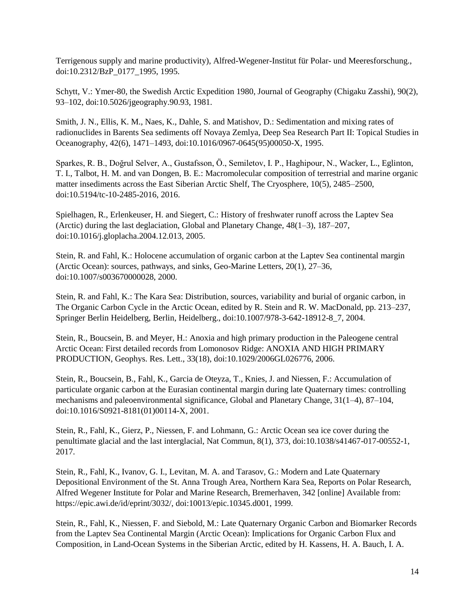Terrigenous supply and marine productivity), Alfred-Wegener-Institut für Polar- und Meeresforschung., doi:10.2312/BzP\_0177\_1995, 1995.

Schytt, V.: Ymer-80, the Swedish Arctic Expedition 1980, Journal of Geography (Chigaku Zasshi), 90(2), 93–102, doi:10.5026/jgeography.90.93, 1981.

Smith, J. N., Ellis, K. M., Naes, K., Dahle, S. and Matishov, D.: Sedimentation and mixing rates of radionuclides in Barents Sea sediments off Novaya Zemlya, Deep Sea Research Part II: Topical Studies in Oceanography, 42(6), 1471–1493, doi:10.1016/0967-0645(95)00050-X, 1995.

Sparkes, R. B., Doğrul Selver, A., Gustafsson, Ö., Semiletov, I. P., Haghipour, N., Wacker, L., Eglinton, T. I., Talbot, H. M. and van Dongen, B. E.: Macromolecular composition of terrestrial and marine organic matter insediments across the East Siberian Arctic Shelf, The Cryosphere, 10(5), 2485–2500, doi:10.5194/tc-10-2485-2016, 2016.

Spielhagen, R., Erlenkeuser, H. and Siegert, C.: History of freshwater runoff across the Laptev Sea (Arctic) during the last deglaciation, Global and Planetary Change, 48(1–3), 187–207, doi:10.1016/j.gloplacha.2004.12.013, 2005.

Stein, R. and Fahl, K.: Holocene accumulation of organic carbon at the Laptev Sea continental margin (Arctic Ocean): sources, pathways, and sinks, Geo-Marine Letters, 20(1), 27–36, doi:10.1007/s003670000028, 2000.

Stein, R. and Fahl, K.: The Kara Sea: Distribution, sources, variability and burial of organic carbon, in The Organic Carbon Cycle in the Arctic Ocean, edited by R. Stein and R. W. MacDonald, pp. 213–237, Springer Berlin Heidelberg, Berlin, Heidelberg., doi:10.1007/978-3-642-18912-8\_7, 2004.

Stein, R., Boucsein, B. and Meyer, H.: Anoxia and high primary production in the Paleogene central Arctic Ocean: First detailed records from Lomonosov Ridge: ANOXIA AND HIGH PRIMARY PRODUCTION, Geophys. Res. Lett., 33(18), doi:10.1029/2006GL026776, 2006.

Stein, R., Boucsein, B., Fahl, K., Garcia de Oteyza, T., Knies, J. and Niessen, F.: Accumulation of particulate organic carbon at the Eurasian continental margin during late Quaternary times: controlling mechanisms and paleoenvironmental significance, Global and Planetary Change, 31(1–4), 87–104, doi:10.1016/S0921-8181(01)00114-X, 2001.

Stein, R., Fahl, K., Gierz, P., Niessen, F. and Lohmann, G.: Arctic Ocean sea ice cover during the penultimate glacial and the last interglacial, Nat Commun, 8(1), 373, doi:10.1038/s41467-017-00552-1, 2017.

Stein, R., Fahl, K., Ivanov, G. I., Levitan, M. A. and Tarasov, G.: Modern and Late Quaternary Depositional Environment of the St. Anna Trough Area, Northern Kara Sea, Reports on Polar Research, Alfred Wegener Institute for Polar and Marine Research, Bremerhaven, 342 [online] Available from: https://epic.awi.de/id/eprint/3032/, doi:10013/epic.10345.d001, 1999.

Stein, R., Fahl, K., Niessen, F. and Siebold, M.: Late Quaternary Organic Carbon and Biomarker Records from the Laptev Sea Continental Margin (Arctic Ocean): Implications for Organic Carbon Flux and Composition, in Land-Ocean Systems in the Siberian Arctic, edited by H. Kassens, H. A. Bauch, I. A.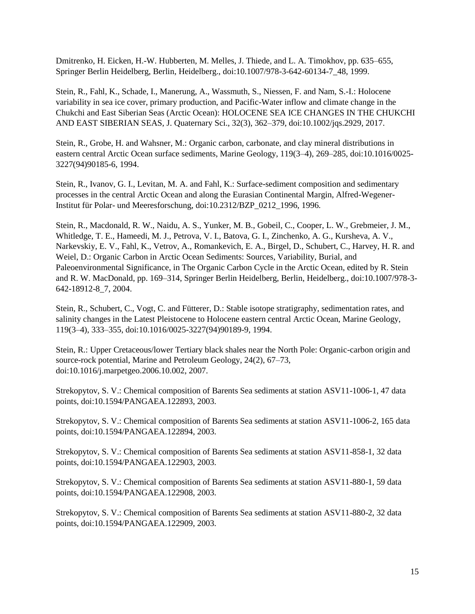Dmitrenko, H. Eicken, H.-W. Hubberten, M. Melles, J. Thiede, and L. A. Timokhov, pp. 635–655, Springer Berlin Heidelberg, Berlin, Heidelberg., doi:10.1007/978-3-642-60134-7\_48, 1999.

Stein, R., Fahl, K., Schade, I., Manerung, A., Wassmuth, S., Niessen, F. and Nam, S.-I.: Holocene variability in sea ice cover, primary production, and Pacific-Water inflow and climate change in the Chukchi and East Siberian Seas (Arctic Ocean): HOLOCENE SEA ICE CHANGES IN THE CHUKCHI AND EAST SIBERIAN SEAS, J. Quaternary Sci., 32(3), 362–379, doi:10.1002/jqs.2929, 2017.

Stein, R., Grobe, H. and Wahsner, M.: Organic carbon, carbonate, and clay mineral distributions in eastern central Arctic Ocean surface sediments, Marine Geology, 119(3–4), 269–285, doi:10.1016/0025- 3227(94)90185-6, 1994.

Stein, R., Ivanov, G. I., Levitan, M. A. and Fahl, K.: Surface-sediment composition and sedimentary processes in the central Arctic Ocean and along the Eurasian Continental Margin, Alfred-Wegener-Institut für Polar- und Meeresforschung, doi:10.2312/BZP\_0212\_1996, 1996.

Stein, R., Macdonald, R. W., Naidu, A. S., Yunker, M. B., Gobeil, C., Cooper, L. W., Grebmeier, J. M., Whitledge, T. E., Hameedi, M. J., Petrova, V. I., Batova, G. I., Zinchenko, A. G., Kursheva, A. V., Narkevskiy, E. V., Fahl, K., Vetrov, A., Romankevich, E. A., Birgel, D., Schubert, C., Harvey, H. R. and Weiel, D.: Organic Carbon in Arctic Ocean Sediments: Sources, Variability, Burial, and Paleoenvironmental Significance, in The Organic Carbon Cycle in the Arctic Ocean, edited by R. Stein and R. W. MacDonald, pp. 169–314, Springer Berlin Heidelberg, Berlin, Heidelberg., doi:10.1007/978-3- 642-18912-8\_7, 2004.

Stein, R., Schubert, C., Vogt, C. and Fütterer, D.: Stable isotope stratigraphy, sedimentation rates, and salinity changes in the Latest Pleistocene to Holocene eastern central Arctic Ocean, Marine Geology, 119(3–4), 333–355, doi:10.1016/0025-3227(94)90189-9, 1994.

Stein, R.: Upper Cretaceous/lower Tertiary black shales near the North Pole: Organic-carbon origin and source-rock potential, Marine and Petroleum Geology, 24(2), 67–73, doi:10.1016/j.marpetgeo.2006.10.002, 2007.

Strekopytov, S. V.: Chemical composition of Barents Sea sediments at station ASV11-1006-1, 47 data points, doi:10.1594/PANGAEA.122893, 2003.

Strekopytov, S. V.: Chemical composition of Barents Sea sediments at station ASV11-1006-2, 165 data points, doi:10.1594/PANGAEA.122894, 2003.

Strekopytov, S. V.: Chemical composition of Barents Sea sediments at station ASV11-858-1, 32 data points, doi:10.1594/PANGAEA.122903, 2003.

Strekopytov, S. V.: Chemical composition of Barents Sea sediments at station ASV11-880-1, 59 data points, doi:10.1594/PANGAEA.122908, 2003.

Strekopytov, S. V.: Chemical composition of Barents Sea sediments at station ASV11-880-2, 32 data points, doi:10.1594/PANGAEA.122909, 2003.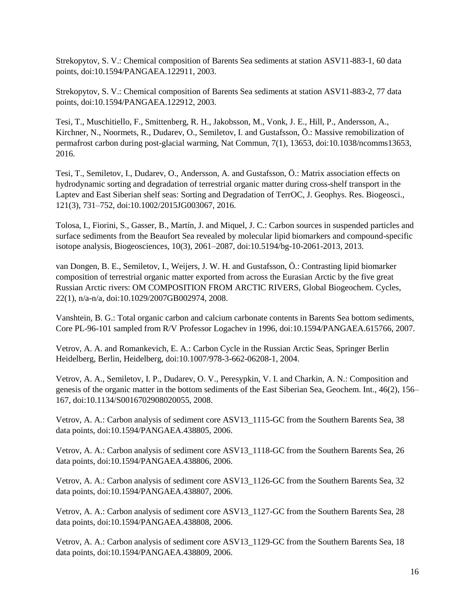Strekopytov, S. V.: Chemical composition of Barents Sea sediments at station ASV11-883-1, 60 data points, doi:10.1594/PANGAEA.122911, 2003.

Strekopytov, S. V.: Chemical composition of Barents Sea sediments at station ASV11-883-2, 77 data points, doi:10.1594/PANGAEA.122912, 2003.

Tesi, T., Muschitiello, F., Smittenberg, R. H., Jakobsson, M., Vonk, J. E., Hill, P., Andersson, A., Kirchner, N., Noormets, R., Dudarev, O., Semiletov, I. and Gustafsson, Ö.: Massive remobilization of permafrost carbon during post-glacial warming, Nat Commun, 7(1), 13653, doi:10.1038/ncomms13653, 2016.

Tesi, T., Semiletov, I., Dudarev, O., Andersson, A. and Gustafsson, Ö.: Matrix association effects on hydrodynamic sorting and degradation of terrestrial organic matter during cross-shelf transport in the Laptev and East Siberian shelf seas: Sorting and Degradation of TerrOC, J. Geophys. Res. Biogeosci., 121(3), 731–752, doi:10.1002/2015JG003067, 2016.

Tolosa, I., Fiorini, S., Gasser, B., Martín, J. and Miquel, J. C.: Carbon sources in suspended particles and surface sediments from the Beaufort Sea revealed by molecular lipid biomarkers and compound-specific isotope analysis, Biogeosciences, 10(3), 2061–2087, doi:10.5194/bg-10-2061-2013, 2013.

van Dongen, B. E., Semiletov, I., Weijers, J. W. H. and Gustafsson, Ö.: Contrasting lipid biomarker composition of terrestrial organic matter exported from across the Eurasian Arctic by the five great Russian Arctic rivers: OM COMPOSITION FROM ARCTIC RIVERS, Global Biogeochem. Cycles, 22(1), n/a-n/a, doi:10.1029/2007GB002974, 2008.

Vanshtein, B. G.: Total organic carbon and calcium carbonate contents in Barents Sea bottom sediments, Core PL-96-101 sampled from R/V Professor Logachev in 1996, doi:10.1594/PANGAEA.615766, 2007.

Vetrov, A. A. and Romankevich, E. A.: Carbon Cycle in the Russian Arctic Seas, Springer Berlin Heidelberg, Berlin, Heidelberg, doi:10.1007/978-3-662-06208-1, 2004.

Vetrov, A. A., Semiletov, I. P., Dudarev, O. V., Peresypkin, V. I. and Charkin, A. N.: Composition and genesis of the organic matter in the bottom sediments of the East Siberian Sea, Geochem. Int., 46(2), 156– 167, doi:10.1134/S0016702908020055, 2008.

Vetrov, A. A.: Carbon analysis of sediment core ASV13\_1115-GC from the Southern Barents Sea, 38 data points, doi:10.1594/PANGAEA.438805, 2006.

Vetrov, A. A.: Carbon analysis of sediment core ASV13\_1118-GC from the Southern Barents Sea, 26 data points, doi:10.1594/PANGAEA.438806, 2006.

Vetrov, A. A.: Carbon analysis of sediment core ASV13\_1126-GC from the Southern Barents Sea, 32 data points, doi:10.1594/PANGAEA.438807, 2006.

Vetrov, A. A.: Carbon analysis of sediment core ASV13\_1127-GC from the Southern Barents Sea, 28 data points, doi:10.1594/PANGAEA.438808, 2006.

Vetrov, A. A.: Carbon analysis of sediment core ASV13\_1129-GC from the Southern Barents Sea, 18 data points, doi:10.1594/PANGAEA.438809, 2006.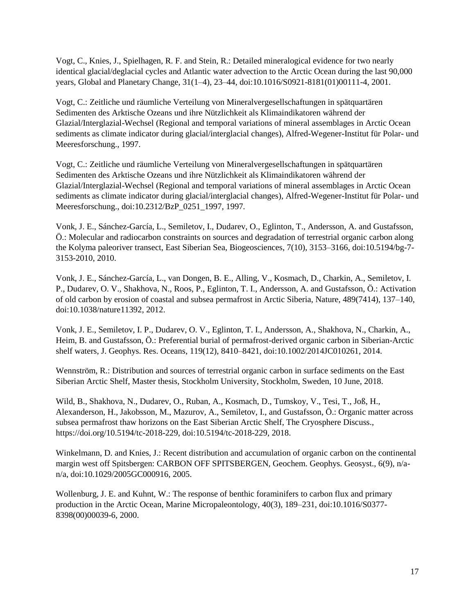Vogt, C., Knies, J., Spielhagen, R. F. and Stein, R.: Detailed mineralogical evidence for two nearly identical glacial/deglacial cycles and Atlantic water advection to the Arctic Ocean during the last 90,000 years, Global and Planetary Change, 31(1–4), 23–44, doi:10.1016/S0921-8181(01)00111-4, 2001.

Vogt, C.: Zeitliche und räumliche Verteilung von Mineralvergesellschaftungen in spätquartären Sedimenten des Arktische Ozeans und ihre Nützlichkeit als Klimaindikatoren während der Glazial/Interglazial-Wechsel (Regional and temporal variations of mineral assemblages in Arctic Ocean sediments as climate indicator during glacial/interglacial changes), Alfred-Wegener-Institut für Polar- und Meeresforschung., 1997.

Vogt, C.: Zeitliche und räumliche Verteilung von Mineralvergesellschaftungen in spätquartären Sedimenten des Arktische Ozeans und ihre Nützlichkeit als Klimaindikatoren während der Glazial/Interglazial-Wechsel (Regional and temporal variations of mineral assemblages in Arctic Ocean sediments as climate indicator during glacial/interglacial changes), Alfred-Wegener-Institut für Polar- und Meeresforschung., doi:10.2312/BzP\_0251\_1997, 1997.

Vonk, J. E., Sánchez-García, L., Semiletov, I., Dudarev, O., Eglinton, T., Andersson, A. and Gustafsson, Ö.: Molecular and radiocarbon constraints on sources and degradation of terrestrial organic carbon along the Kolyma paleoriver transect, East Siberian Sea, Biogeosciences, 7(10), 3153–3166, doi:10.5194/bg-7- 3153-2010, 2010.

Vonk, J. E., Sánchez-García, L., van Dongen, B. E., Alling, V., Kosmach, D., Charkin, A., Semiletov, I. P., Dudarev, O. V., Shakhova, N., Roos, P., Eglinton, T. I., Andersson, A. and Gustafsson, Ö.: Activation of old carbon by erosion of coastal and subsea permafrost in Arctic Siberia, Nature, 489(7414), 137–140, doi:10.1038/nature11392, 2012.

Vonk, J. E., Semiletov, I. P., Dudarev, O. V., Eglinton, T. I., Andersson, A., Shakhova, N., Charkin, A., Heim, B. and Gustafsson, Ö.: Preferential burial of permafrost-derived organic carbon in Siberian-Arctic shelf waters, J. Geophys. Res. Oceans, 119(12), 8410–8421, doi:10.1002/2014JC010261, 2014.

Wennström, R.: Distribution and sources of terrestrial organic carbon in surface sediments on the East Siberian Arctic Shelf, Master thesis, Stockholm University, Stockholm, Sweden, 10 June, 2018.

Wild, B., Shakhova, N., Dudarev, O., Ruban, A., Kosmach, D., Tumskoy, V., Tesi, T., Joß, H., Alexanderson, H., Jakobsson, M., Mazurov, A., Semiletov, I., and Gustafsson, Ö.: Organic matter across subsea permafrost thaw horizons on the East Siberian Arctic Shelf, The Cryosphere Discuss., https://doi.org/10.5194/tc-2018-229, doi:10.5194/tc-2018-229, 2018.

Winkelmann, D. and Knies, J.: Recent distribution and accumulation of organic carbon on the continental margin west off Spitsbergen: CARBON OFF SPITSBERGEN, Geochem. Geophys. Geosyst., 6(9), n/an/a, doi:10.1029/2005GC000916, 2005.

Wollenburg, J. E. and Kuhnt, W.: The response of benthic foraminifers to carbon flux and primary production in the Arctic Ocean, Marine Micropaleontology, 40(3), 189–231, doi:10.1016/S0377- 8398(00)00039-6, 2000.